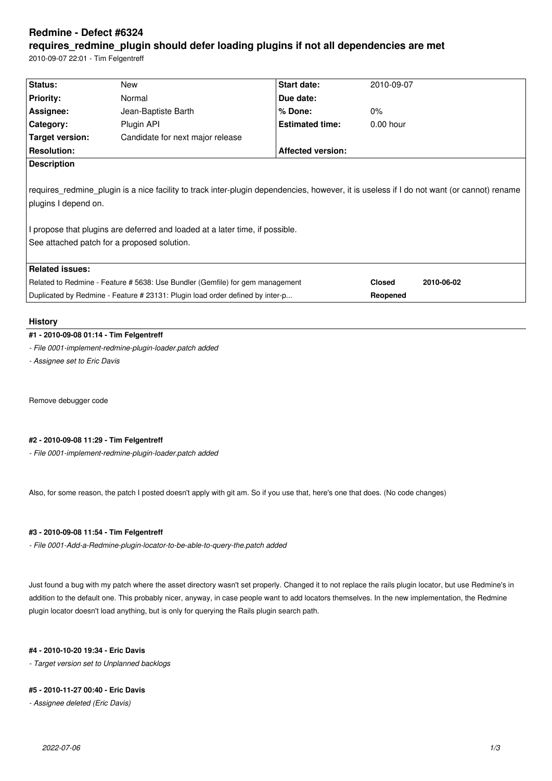# **Redmine - Defect #6324**

# **requires\_redmine\_plugin should defer loading plugins if not all dependencies are met**

2010-09-07 22:01 - Tim Felgentreff

| Status:                                                                                                                                   | New                              | Start date:              | 2010-09-07  |  |  |  |
|-------------------------------------------------------------------------------------------------------------------------------------------|----------------------------------|--------------------------|-------------|--|--|--|
| <b>Priority:</b>                                                                                                                          | Normal                           | Due date:                |             |  |  |  |
| Assignee:                                                                                                                                 | Jean-Baptiste Barth              | $%$ Done:                | $0\%$       |  |  |  |
| Category:                                                                                                                                 | Plugin API                       | <b>Estimated time:</b>   | $0.00$ hour |  |  |  |
| Target version:                                                                                                                           | Candidate for next major release |                          |             |  |  |  |
| <b>Resolution:</b>                                                                                                                        |                                  | <b>Affected version:</b> |             |  |  |  |
| <b>Description</b>                                                                                                                        |                                  |                          |             |  |  |  |
|                                                                                                                                           |                                  |                          |             |  |  |  |
| requires redmine plugin is a nice facility to track inter-plugin dependencies, however, it is useless if I do not want (or cannot) rename |                                  |                          |             |  |  |  |
| plugins I depend on.                                                                                                                      |                                  |                          |             |  |  |  |
|                                                                                                                                           |                                  |                          |             |  |  |  |
| I propose that plugins are deferred and loaded at a later time, if possible.                                                              |                                  |                          |             |  |  |  |
| See attached patch for a proposed solution.                                                                                               |                                  |                          |             |  |  |  |
|                                                                                                                                           |                                  |                          |             |  |  |  |
| <b>Related issues:</b>                                                                                                                    |                                  |                          |             |  |  |  |
|                                                                                                                                           |                                  |                          |             |  |  |  |
| Related to Redmine - Feature # 5638: Use Bundler (Gemfile) for gem management                                                             |                                  | <b>Closed</b>            | 2010-06-02  |  |  |  |
| Duplicated by Redmine - Feature # 23131: Plugin load order defined by inter-p                                                             |                                  | Reopened                 |             |  |  |  |

#### **History**

## **#1 - 2010-09-08 01:14 - Tim Felgentreff**

*- File 0001-implement-redmine-plugin-loader.patch added*

*- Assignee set to Eric Davis*

Remove debugger code

# **#2 - 2010-09-08 11:29 - Tim Felgentreff**

*- File 0001-implement-redmine-plugin-loader.patch added*

Also, for some reason, the patch I posted doesn't apply with git am. So if you use that, here's one that does. (No code changes)

# **#3 - 2010-09-08 11:54 - Tim Felgentreff**

*- File 0001-Add-a-Redmine-plugin-locator-to-be-able-to-query-the.patch added*

Just found a bug with my patch where the asset directory wasn't set properly. Changed it to not replace the rails plugin locator, but use Redmine's in addition to the default one. This probably nicer, anyway, in case people want to add locators themselves. In the new implementation, the Redmine plugin locator doesn't load anything, but is only for querying the Rails plugin search path.

#### **#4 - 2010-10-20 19:34 - Eric Davis**

*- Target version set to Unplanned backlogs*

#### **#5 - 2010-11-27 00:40 - Eric Davis**

*- Assignee deleted (Eric Davis)*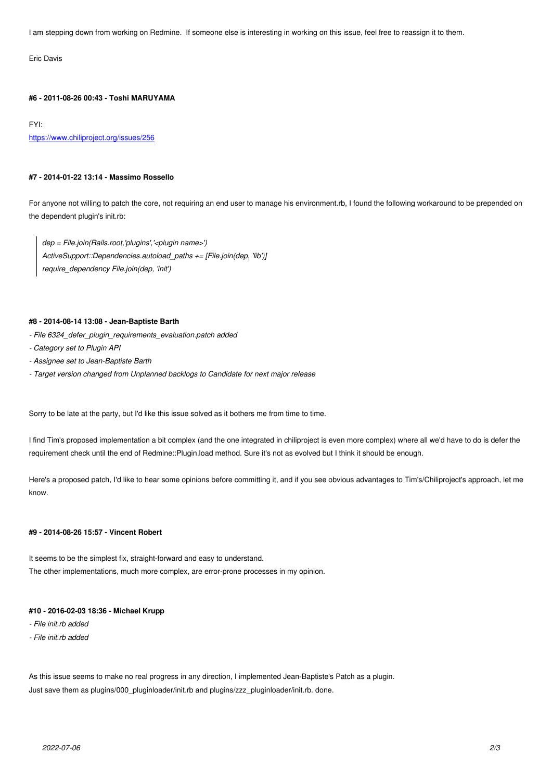#### **#6 - 2011-08-26 00:43 - Toshi MARUYAMA**

FYI: https://www.chiliproject.org/issues/256

#### **[#7 - 2014-01-22 13:14 - Massimo Ros](https://www.chiliproject.org/issues/256)sello**

For anyone not willing to patch the core, not requiring an end user to manage his environment.rb, I found the following workaround to be prepended on the dependent plugin's init.rb:

*dep = File.join(Rails.root,'plugins','<plugin name>') ActiveSupport::Dependencies.autoload\_paths += [File.join(dep, 'lib')] require\_dependency File.join(dep, 'init')*

#### **#8 - 2014-08-14 13:08 - Jean-Baptiste Barth**

- *File 6324\_defer\_plugin\_requirements\_evaluation.patch added*
- *Category set to Plugin API*
- *Assignee set to Jean-Baptiste Barth*
- *Target version changed from Unplanned backlogs to Candidate for next major release*

Sorry to be late at the party, but I'd like this issue solved as it bothers me from time to time.

I find Tim's proposed implementation a bit complex (and the one integrated in chiliproject is even more complex) where all we'd have to do is defer the requirement check until the end of Redmine::Plugin.load method. Sure it's not as evolved but I think it should be enough.

Here's a proposed patch, I'd like to hear some opinions before committing it, and if you see obvious advantages to Tim's/Chiliproject's approach, let me know.

# **#9 - 2014-08-26 15:57 - Vincent Robert**

It seems to be the simplest fix, straight-forward and easy to understand. The other implementations, much more complex, are error-prone processes in my opinion.

# **#10 - 2016-02-03 18:36 - Michael Krupp**

- *File init.rb added*
- *File init.rb added*

As this issue seems to make no real progress in any direction, I implemented Jean-Baptiste's Patch as a plugin. Just save them as plugins/000\_pluginloader/init.rb and plugins/zzz\_pluginloader/init.rb. done.